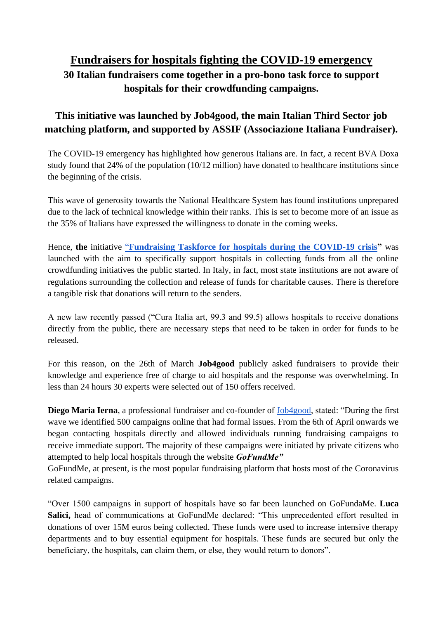## **Fundraisers for hospitals fighting the COVID-19 emergency 30 Italian fundraisers come together in a pro-bono task force to support hospitals for their crowdfunding campaigns.**

## **This initiative was launched by Job4good, the main Italian Third Sector job matching platform, and supported by ASSIF (Associazione Italiana Fundraiser).**

The COVID-19 emergency has highlighted how generous Italians are. In fact, a recent BVA Doxa study found that 24% of the population (10/12 million) have donated to healthcare institutions since the beginning of the crisis.

This wave of generosity towards the National Healthcare System has found institutions unprepared due to the lack of technical knowledge within their ranks. This is set to become more of an issue as the 35% of Italians have expressed the willingness to donate in the coming weeks.

Hence, **the** initiative ["](https://www.job4good.it/fundraising-taskforce-for-hospitals-during-the-covid-19-crisis/)**[Fundraising Taskforce for hospitals during the COVID-19 crisis"](https://www.job4good.it/fundraising-taskforce-for-hospitals-during-the-covid-19-crisis/)** was launched with the aim to specifically support hospitals in collecting funds from all the online crowdfunding initiatives the public started. In Italy, in fact, most state institutions are not aware of regulations surrounding the collection and release of funds for charitable causes. There is therefore a tangible risk that donations will return to the senders.

A new law recently passed ("Cura Italia art, 99.3 and 99.5) allows hospitals to receive donations directly from the public, there are necessary steps that need to be taken in order for funds to be released.

For this reason, on the 26th of March **Job4good** publicly asked fundraisers to provide their knowledge and experience free of charge to aid hospitals and the response was overwhelming. In less than 24 hours 30 experts were selected out of 150 offers received.

**Diego Maria Ierna**, a professional fundraiser and co-founder of [Job4good,](https://www.job4good.it/) stated: "During the first wave we identified 500 campaigns online that had formal issues. From the 6th of April onwards we began contacting hospitals directly and allowed individuals running fundraising campaigns to receive immediate support. The majority of these campaigns were initiated by private citizens who attempted to help local hospitals through the website *GoFundMe"*

GoFundMe, at present, is the most popular fundraising platform that hosts most of the Coronavirus related campaigns.

"Over 1500 campaigns in support of hospitals have so far been launched on GoFundaMe. **Luca**  Salici, head of communications at GoFundMe declared: "This unprecedented effort resulted in donations of over 15M euros being collected. These funds were used to increase intensive therapy departments and to buy essential equipment for hospitals. These funds are secured but only the beneficiary, the hospitals, can claim them, or else, they would return to donors".